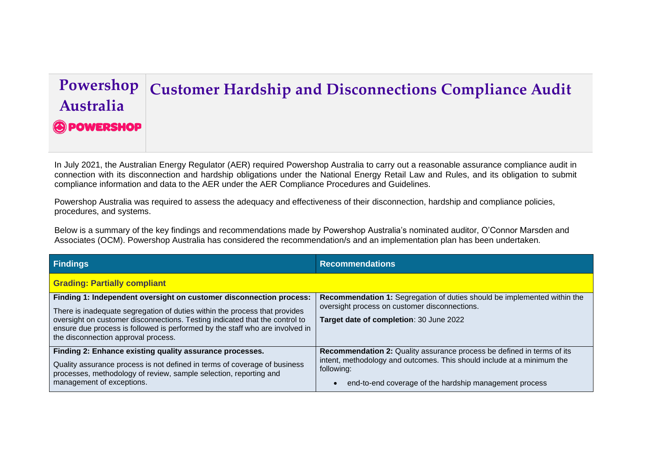## **Powershop Customer Hardship and Disconnections Compliance AuditAustralia POWERSHOP**

In July 2021, the Australian Energy Regulator (AER) required Powershop Australia to carry out a reasonable assurance compliance audit in connection with its disconnection and hardship obligations under the National Energy Retail Law and Rules, and its obligation to submit compliance information and data to the AER under the AER Compliance Procedures and Guidelines.

Powershop Australia was required to assess the adequacy and effectiveness of their disconnection, hardship and compliance policies, procedures, and systems.

Below is a summary of the key findings and recommendations made by Powershop Australia's nominated auditor, O'Connor Marsden and Associates (OCM). Powershop Australia has considered the recommendation/s and an implementation plan has been undertaken.

| <b>Findings</b>                                                                                                                                                                                                                                                                                                                                         | <b>Recommendations</b>                                                                                                                                                                                                   |
|---------------------------------------------------------------------------------------------------------------------------------------------------------------------------------------------------------------------------------------------------------------------------------------------------------------------------------------------------------|--------------------------------------------------------------------------------------------------------------------------------------------------------------------------------------------------------------------------|
| <b>Grading: Partially compliant</b>                                                                                                                                                                                                                                                                                                                     |                                                                                                                                                                                                                          |
| Finding 1: Independent oversight on customer disconnection process:<br>There is inadequate segregation of duties within the process that provides<br>oversight on customer disconnections. Testing indicated that the control to<br>ensure due process is followed is performed by the staff who are involved in<br>the disconnection approval process. | Recommendation 1: Segregation of duties should be implemented within the<br>oversight process on customer disconnections.<br>Target date of completion: 30 June 2022                                                     |
| Finding 2: Enhance existing quality assurance processes.<br>Quality assurance process is not defined in terms of coverage of business<br>processes, methodology of review, sample selection, reporting and<br>management of exceptions.                                                                                                                 | Recommendation 2: Quality assurance process be defined in terms of its<br>intent, methodology and outcomes. This should include at a minimum the<br>following:<br>end-to-end coverage of the hardship management process |